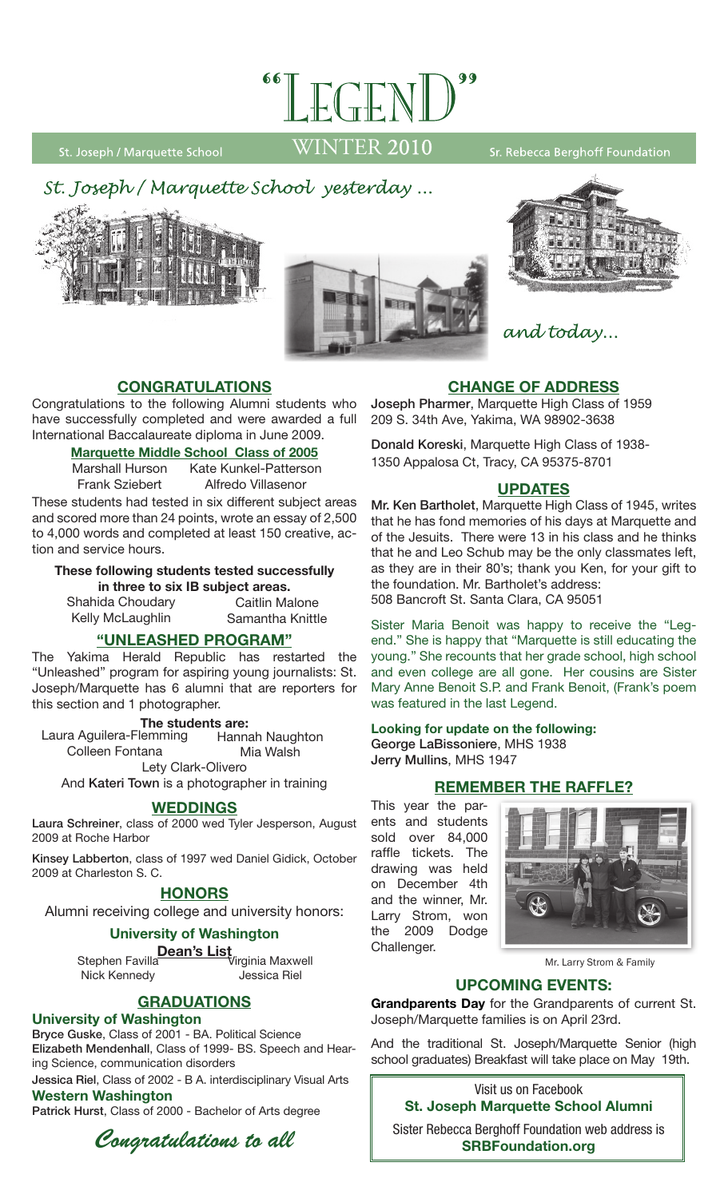

St. Joseph / Marquette School

WINTER 2010

Sr. Rebecca Berghoff Foundation







and today...

# **Congratulations**

Congratulations to the following Alumni students who have successfully completed and were awarded a full International Baccalaureate diploma in June 2009.

## **Marquette Middle School Class of 2005**

Marshall Hurson Frank Sziebert Kate Kunkel-Patterson Alfredo Villasenor

These students had tested in six different subject areas and scored more than 24 points, wrote an essay of 2,500 to 4,000 words and completed at least 150 creative, action and service hours.

#### **These following students tested successfully in three to six IB subject areas.**  Caitlin Malone

Samantha Knittle

Shahida Choudary Kelly McLaughlin

## **"unleashed program"**

The Yakima Herald Republic has restarted the "Unleashed" program for aspiring young journalists: St. Joseph/Marquette has 6 alumni that are reporters for this section and 1 photographer.

#### **The students are:**

Lety Clark-Olivero Laura Aguilera-Flemming Colleen Fontana Hannah Naughton Mia Walsh

And Kateri Town is a photographer in training

## **Weddings**

Laura Schreiner, class of 2000 wed Tyler Jesperson, August 2009 at Roche Harbor

Kinsey Labberton, class of 1997 wed Daniel Gidick, October 2009 at Charleston S. C.

## **HONORS**

Alumni receiving college and university honors:

## **University of Washington**

**Dean's List** Stephen Favilla Virginia Maxwell Nick Kennedy Jessica Riel

# **Graduations**

## **University of Washington**

Bryce Guske, Class of 2001 - BA. Political Science Elizabeth Mendenhall, Class of 1999- BS. Speech and Hearing Science, communication disorders

Jessica Riel, Class of 2002 - B A. interdisciplinary Visual Arts **Western Washington**

Patrick Hurst, Class of 2000 - Bachelor of Arts degree



**Change of address**

Joseph Pharmer, Marquette High Class of 1959 209 S. 34th Ave, Yakima, WA 98902-3638

Donald Koreski, Marquette High Class of 1938- 1350 Appalosa Ct, Tracy, CA 95375-8701

## **updates**

Mr. Ken Bartholet, Marquette High Class of 1945, writes that he has fond memories of his days at Marquette and of the Jesuits. There were 13 in his class and he thinks that he and Leo Schub may be the only classmates left, as they are in their 80's; thank you Ken, for your gift to the foundation. Mr. Bartholet's address: 508 Bancroft St. Santa Clara, CA 95051

Sister Maria Benoit was happy to receive the "Legend." She is happy that "Marquette is still educating the young." She recounts that her grade school, high school and even college are all gone. Her cousins are Sister Mary Anne Benoit S.P. and Frank Benoit, (Frank's poem was featured in the last Legend.

#### **Looking for update on the following:** George LaBissoniere, MHS 1938 Jerry Mullins, MHS 1947

**Remember The Raffle?**

This year the parents and students sold over 84,000 raffle tickets. The drawing was held on December 4th and the winner, Mr. Larry Strom, won the 2009 Dodge Challenger.



Mr. Larry Strom & Family

## **UPCOMING EVENTS:**

**Grandparents Day** for the Grandparents of current St. Joseph/Marquette families is on April 23rd.

And the traditional St. Joseph/Marquette Senior (high school graduates) Breakfast will take place on May 19th.

> Visit us on Facebook **St. Joseph Marquette School Alumni**

Sister Rebecca Berghoff Foundation web address is **SRBFoundation.org**